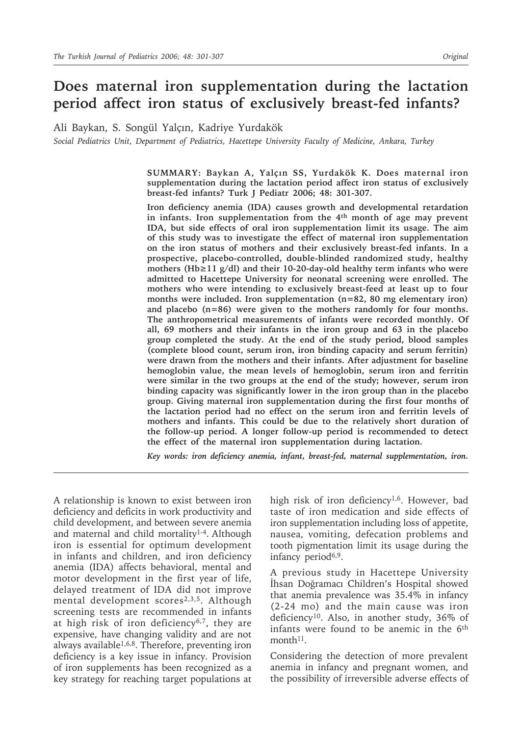# **Does maternal iron supplementation during the lactation period affect iron status of exclusively breast-fed infants?**

Ali Baykan, S. Songül Yalçın, Kadriye Yurdakök

*Social Pediatrics Unit, Department of Pediatrics, Hacettepe University Faculty of Medicine, Ankara, Turkey*

**SUMMARY: Baykan A, Yalçın SS, Yurdakök K. Does maternal iron supplementation during the lactation period affect iron status of exclusively breast-fed infants? Turk J Pediatr 2006; 48: 301-307.**

**Iron deficiency anemia (IDA) causes growth and developmental retardation in infants. Iron supplementation from the 4th month of age may prevent IDA, but side effects of oral iron supplementation limit its usage. The aim of this study was to investigate the effect of maternal iron supplementation on the iron status of mothers and their exclusively breast-fed infants. In a prospective, placebo-controlled, double-blinded randomized study, healthy mothers (Hb≥11 g/dl) and their 10-20-day-old healthy term infants who were admitted to Hacettepe University for neonatal screening were enrolled. The mothers who were intending to exclusively breast-feed at least up to four months were included. Iron supplementation (n=82, 80 mg elementary iron) and placebo (n=86) were given to the mothers randomly for four months. The anthropometrical measurements of infants were recorded monthly. Of all, 69 mothers and their infants in the iron group and 63 in the placebo group completed the study. At the end of the study period, blood samples (complete blood count, serum iron, iron binding capacity and serum ferritin) were drawn from the mothers and their infants. After adjustment for baseline hemoglobin value, the mean levels of hemoglobin, serum iron and ferritin were similar in the two groups at the end of the study; however, serum iron binding capacity was significantly lower in the iron group than in the placebo group. Giving maternal iron supplementation during the first four months of the lactation period had no effect on the serum iron and ferritin levels of mothers and infants. This could be due to the relatively short duration of the follow-up period. A longer follow-up period is recommended to detect the effect of the maternal iron supplementation during lactation.**

*Key words: iron deficiency anemia, infant, breast-fed, maternal supplementation, iron.*

A relationship is known to exist between iron deficiency and deficits in work productivity and child development, and between severe anemia and maternal and child mortality1-4. Although iron is essential for optimum development in infants and children, and iron deficiency anemia (IDA) affects behavioral, mental and motor development in the first year of life, delayed treatment of IDA did not improve mental development scores<sup>2,3,5</sup>. Although screening tests are recommended in infants at high risk of iron deficiency6,7, they are expensive, have changing validity and are not always available $1,6,8$ . Therefore, preventing iron deficiency is a key issue in infancy. Provision of iron supplements has been recognized as a key strategy for reaching target populations at

high risk of iron deficiency<sup>1,6</sup>. However, bad taste of iron medication and side effects of iron supplementation including loss of appetite, nausea, vomiting, defecation problems and tooth pigmentation limit its usage during the infancy period<sup>6,9</sup>.

A previous study in Hacettepe University İhsan Doğramacı Children's Hospital showed that anemia prevalence was 35.4% in infancy (2-24 mo) and the main cause was iron deficiency10. Also, in another study, 36% of infants were found to be anemic in the 6th month<sup>11</sup>.

Considering the detection of more prevalent anemia in infancy and pregnant women, and the possibility of irreversible adverse effects of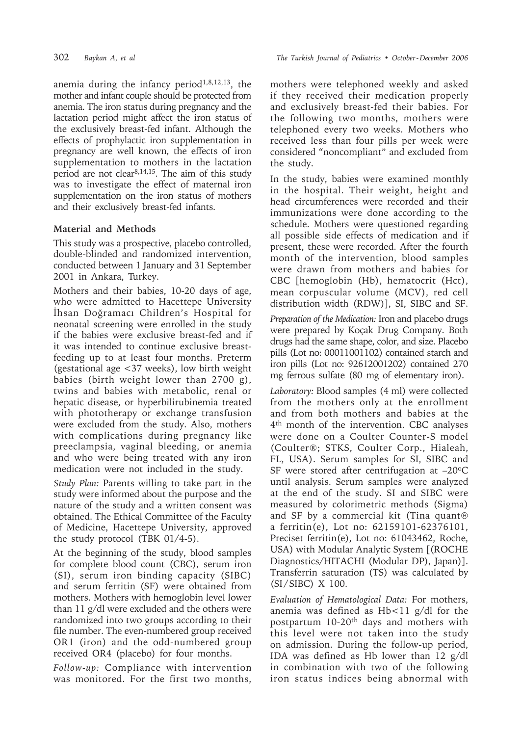anemia during the infancy period<sup> $1,8,12,13$ </sup>, the mother and infant couple should be protected from anemia. The iron status during pregnancy and the lactation period might affect the iron status of the exclusively breast-fed infant. Although the effects of prophylactic iron supplementation in pregnancy are well known, the effects of iron supplementation to mothers in the lactation period are not clear8,14,15. The aim of this study was to investigate the effect of maternal iron supplementation on the iron status of mothers and their exclusively breast-fed infants.

## **Material and Methods**

This study was a prospective, placebo controlled, double-blinded and randomized intervention, conducted between 1 January and 31 September 2001 in Ankara, Turkey.

Mothers and their babies, 10-20 days of age, who were admitted to Hacettepe University İhsan Doğramacı Children's Hospital for neonatal screening were enrolled in the study if the babies were exclusive breast-fed and if it was intended to continue exclusive breastfeeding up to at least four months. Preterm (gestational age <37 weeks), low birth weight babies (birth weight lower than 2700 g), twins and babies with metabolic, renal or hepatic disease, or hyperbilirubinemia treated with phototherapy or exchange transfusion were excluded from the study. Also, mothers with complications during pregnancy like preeclampsia, vaginal bleeding, or anemia and who were being treated with any iron medication were not included in the study.

*Study Plan:* Parents willing to take part in the study were informed about the purpose and the nature of the study and a written consent was obtained. The Ethical Committee of the Faculty of Medicine, Hacettepe University, approved the study protocol (TBK 01/4-5).

At the beginning of the study, blood samples for complete blood count (CBC), serum iron (SI), serum iron binding capacity (SIBC) and serum ferritin (SF) were obtained from mothers. Mothers with hemoglobin level lower than 11 g/dl were excluded and the others were randomized into two groups according to their file number. The even-numbered group received OR1 (iron) and the odd-numbered group received OR4 (placebo) for four months.

*Follow-up:* Compliance with intervention was monitored. For the first two months,

mothers were telephoned weekly and asked if they received their medication properly and exclusively breast-fed their babies. For the following two months, mothers were telephoned every two weeks. Mothers who received less than four pills per week were considered "noncompliant" and excluded from the study.

In the study, babies were examined monthly in the hospital. Their weight, height and head circumferences were recorded and their immunizations were done according to the schedule. Mothers were questioned regarding all possible side effects of medication and if present, these were recorded. After the fourth month of the intervention, blood samples were drawn from mothers and babies for CBC [hemoglobin (Hb), hematocrit (Hct), mean corpuscular volume (MCV), red cell distribution width (RDW)], SI, SIBC and SF.

*Preparation of the Medication:* Iron and placebo drugs were prepared by Koçak Drug Company. Both drugs had the same shape, color, and size. Placebo pills (Lot no: 00011001102) contained starch and iron pills (Lot no: 92612001202) contained 270 mg ferrous sulfate (80 mg of elementary iron).

*Laboratory:* Blood samples (4 ml) were collected from the mothers only at the enrollment and from both mothers and babies at the 4th month of the intervention. CBC analyses were done on a Coulter Counter-S model (Coulter®; STKS, Coulter Corp., Hialeah, FL, USA). Serum samples for SI, SIBC and SF were stored after centrifugation at  $-20^{\circ}$ C until analysis. Serum samples were analyzed at the end of the study. SI and SIBC were measured by colorimetric methods (Sigma) and SF by a commercial kit (Tina quant® a ferritin(e), Lot no: 62159101-62376101, Preciset ferritin(e), Lot no: 61043462, Roche, USA) with Modular Analytic System [(ROCHE Diagnostics/HITACHI (Modular DP), Japan)]. Transferrin saturation (TS) was calculated by (SI / SIBC) X 100.

*Evaluation of Hematological Data:* For mothers, anemia was defined as  $Hb<11$  g/dl for the postpartum 10-20th days and mothers with this level were not taken into the study on admission. During the follow-up period, IDA was defined as Hb lower than 12 g/dl in combination with two of the following iron status indices being abnormal with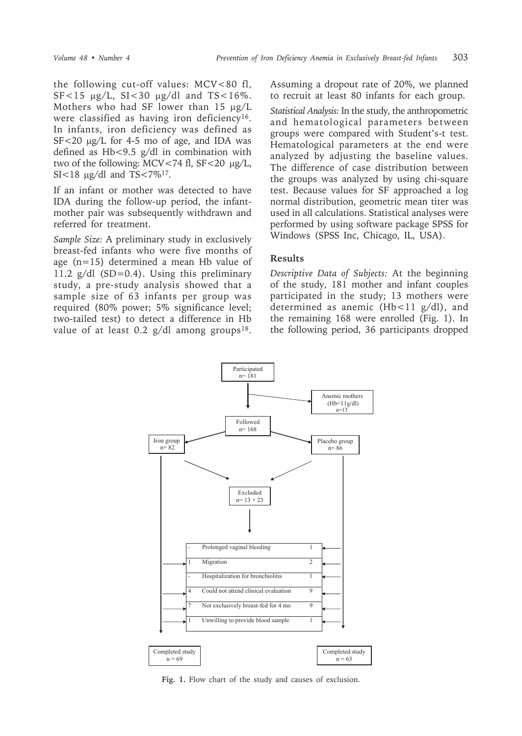the following cut-off values: MCV<80 fl,  $SF < 15 \mu g/L$ ,  $SI < 30 \mu g/dl$  and  $TS < 16\%$ . Mothers who had SF lower than 15  $\mu$ g/L were classified as having iron deficiency<sup>16</sup>. In infants, iron deficiency was defined as SF<20  $\mu$ g/L for 4-5 mo of age, and IDA was defined as Hb<9.5 g/dl in combination with two of the following: MCV $<74$  fl, SF $<20 \mu g/L$ , SI<18  $\mu$ g/dl and TS<7%<sup>17</sup>.

If an infant or mother was detected to have IDA during the follow-up period, the infantmother pair was subsequently withdrawn and referred for treatment.

*Sample Size:* A preliminary study in exclusively breast-fed infants who were five months of age (n=15) determined a mean Hb value of 11.2  $g/dl$  (SD=0.4). Using this preliminary study, a pre-study analysis showed that a sample size of 63 infants per group was required (80% power; 5% significance level; two-tailed test) to detect a difference in Hb value of at least 0.2  $g/dl$  among groups<sup>18</sup>.

Assuming a dropout rate of 20%, we planned to recruit at least 80 infants for each group.

*Statistical Analysis:* In the study, the anthropometric and hematological parameters between groups were compared with Student's-t test. Hematological parameters at the end were analyzed by adjusting the baseline values. The difference of case distribution between the groups was analyzed by using chi-square test. Because values for SF approached a log normal distribution, geometric mean titer was used in all calculations. Statistical analyses were performed by using software package SPSS for Windows (SPSS Inc, Chicago, IL, USA).

#### **Results**

*Descriptive Data of Subjects:* At the beginning of the study, 181 mother and infant couples participated in the study; 13 mothers were determined as anemic (Hb<11 g/dl), and the remaining 168 were enrolled (Fig. 1). In the following period, 36 participants dropped



**Fig. 1.** Flow chart of the study and causes of exclusion.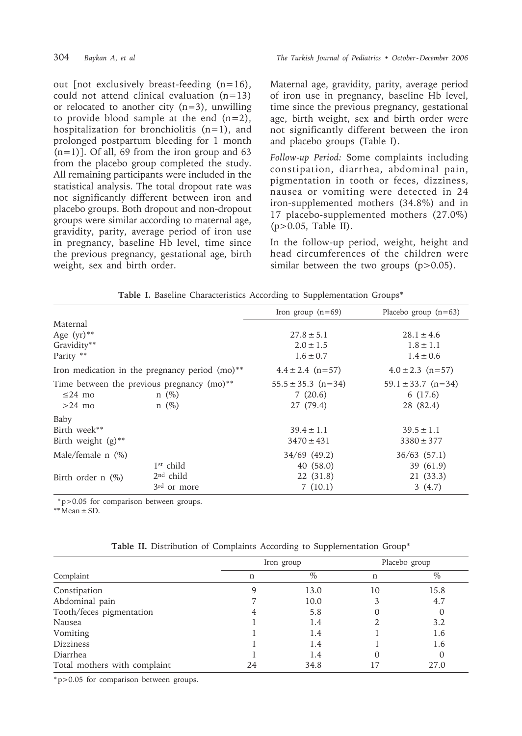out [not exclusively breast-feeding (n=16), could not attend clinical evaluation (n=13) or relocated to another city  $(n=3)$ , unwilling to provide blood sample at the end  $(n=2)$ , hospitalization for bronchiolitis  $(n=1)$ , and prolonged postpartum bleeding for 1 month  $(n=1)$ ]. Of all, 69 from the iron group and 63 from the placebo group completed the study. All remaining participants were included in the statistical analysis. The total dropout rate was not significantly different between iron and placebo groups. Both dropout and non-dropout groups were similar according to maternal age, gravidity, parity, average period of iron use in pregnancy, baseline Hb level, time since the previous pregnancy, gestational age, birth weight, sex and birth order.

Maternal age, gravidity, parity, average period of iron use in pregnancy, baseline Hb level, time since the previous pregnancy, gestational age, birth weight, sex and birth order were not significantly different between the iron and placebo groups (Table I).

*Follow-up Period:* Some complaints including constipation, diarrhea, abdominal pain, pigmentation in tooth or feces, dizziness, nausea or vomiting were detected in 24 iron-supplemented mothers (34.8%) and in 17 placebo-supplemented mothers (27.0%)  $(p>0.05$ , Table II).

In the follow-up period, weight, height and head circumferences of the children were similar between the two groups  $(p>0.05)$ .

|                                  |                                                            | Iron group $(n=69)$    | Placebo group $(n=63)$ |
|----------------------------------|------------------------------------------------------------|------------------------|------------------------|
| Maternal                         |                                                            |                        |                        |
| Age $(yr)$ **                    |                                                            | $27.8 \pm 5.1$         | $28.1 \pm 4.6$         |
| Gravidity**                      |                                                            | $2.0 \pm 1.5$          | $1.8 \pm 1.1$          |
| Parity **                        |                                                            | $1.6 \pm 0.7$          | $1.4 \pm 0.6$          |
|                                  | Iron medication in the pregnancy period (mo) <sup>**</sup> | $4.4 \pm 2.4$ (n=57)   | $4.0 \pm 2.3$ (n=57)   |
|                                  | Time between the previous pregnancy $(mo)$ <sup>**</sup>   | $55.5 \pm 35.3$ (n=34) | $59.1 \pm 33.7$ (n=34) |
| $\leq$ 24 mo                     | $n(\%)$                                                    | 7(20.6)                | 6(17.6)                |
| $>24$ mo                         | $n \ (\%)$                                                 | 27 (79.4)              | 28 (82.4)              |
| Baby                             |                                                            |                        |                        |
| Birth week**                     |                                                            | $39.4 \pm 1.1$         | $39.5 \pm 1.1$         |
| Birth weight $(g)$ <sup>**</sup> |                                                            | $3470 \pm 431$         | $3380 \pm 377$         |
| Male/female $n$ (%)              |                                                            | 34/69 (49.2)           | $36/63$ $(57.1)$       |
|                                  | $1st$ child                                                | 40(58.0)               | 39 (61.9)              |
| Birth order $n$ $(\%)$           | $2nd$ child                                                | 22 (31.8)              | 21 (33.3)              |
|                                  | $3rd$ or more                                              | 7(10.1)                | 3(4.7)                 |

|  |  |  | Table I. Baseline Characteristics According to Supplementation Groups* |  |
|--|--|--|------------------------------------------------------------------------|--|
|  |  |  |                                                                        |  |

\* p>0.05 for comparison between groups.

 $**$  Mean  $\pm$  SD.

|                              |    | Iron group | Placebo group |          |
|------------------------------|----|------------|---------------|----------|
| Complaint                    | n  | $\%$       | n             | $\%$     |
| Constipation                 |    | 13.0       | 10            | 15.8     |
| Abdominal pain               |    | 10.0       |               | 4.7      |
| Tooth/feces pigmentation     |    | 5.8        |               | $\cup$   |
| Nausea                       |    | 1.4        |               | 3.2      |
| Vomiting                     |    | 1.4        |               | 1.6      |
| <b>Dizziness</b>             |    | 1.4        |               | 1.6      |
| Diarrhea                     |    | 1.4        |               | $\theta$ |
| Total mothers with complaint | 24 | 34.8       |               | 27.0     |

**Table II.** Distribution of Complaints According to Supplementation Group\*

\* p>0.05 for comparison between groups.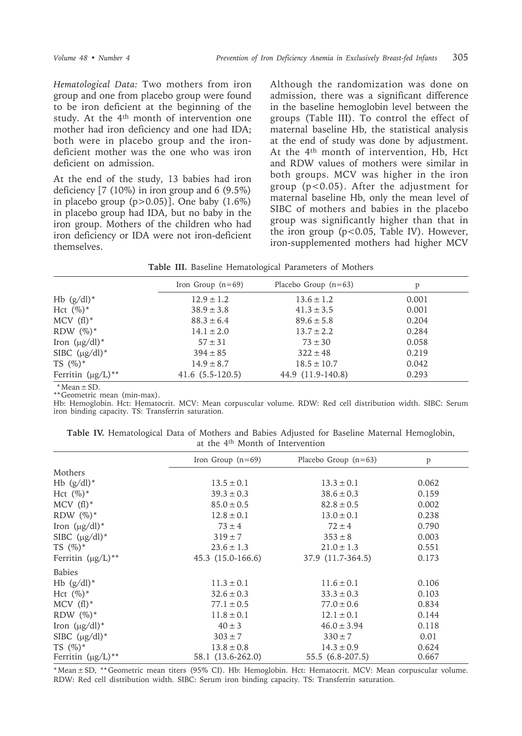*Hematological Data:* Two mothers from iron group and one from placebo group were found to be iron deficient at the beginning of the study. At the 4th month of intervention one mother had iron deficiency and one had IDA; both were in placebo group and the irondeficient mother was the one who was iron deficient on admission.

At the end of the study, 13 babies had iron deficiency [7 (10%) in iron group and 6 (9.5%) in placebo group  $(p>0.05)$ ]. One baby  $(1.6\%)$ in placebo group had IDA, but no baby in the iron group. Mothers of the children who had iron deficiency or IDA were not iron-deficient themselves.

Although the randomization was done on admission, there was a significant difference in the baseline hemoglobin level between the groups (Table III). To control the effect of maternal baseline Hb, the statistical analysis at the end of study was done by adjustment. At the 4th month of intervention, Hb, Hct and RDW values of mothers were similar in both groups. MCV was higher in the iron group (p<0.05). After the adjustment for maternal baseline Hb, only the mean level of SIBC of mothers and babies in the placebo group was significantly higher than that in the iron group ( $p$ <0.05, Table IV). However, iron-supplemented mothers had higher MCV

**Table III.** Baseline Hematological Parameters of Mothers

|                                    | Iron Group $(n=69)$ | Placebo Group $(n=63)$ | p     |
|------------------------------------|---------------------|------------------------|-------|
| Hb $(g/dl)^*$                      | $12.9 \pm 1.2$      | $13.6 \pm 1.2$         | 0.001 |
| Hct $(\%)^*$                       | $38.9 \pm 3.8$      | $41.3 \pm 3.5$         | 0.001 |
| $MCV$ (fl) <sup>*</sup>            | $88.3 \pm 6.4$      | $89.6 \pm 5.8$         | 0.204 |
| RDW $(\%)^*$                       | $14.1 \pm 2.0$      | $13.7 \pm 2.2$         | 0.284 |
| Iron $(\mu g/dl)^*$                | $57 \pm 31$         | $73 \pm 30$            | 0.058 |
| SIBC $(\mu g/dl)^*$                | $394 \pm 85$        | $322 \pm 48$           | 0.219 |
| $TS(%)^*$                          | $14.9 \pm 8.7$      | $18.5 \pm 10.7$        | 0.042 |
| Ferritin $(\mu g/L)$ <sup>**</sup> | $41.6(5.5-120.5)$   | 44.9 (11.9-140.8)      | 0.293 |

 $*$  Mean  $\pm$  SD.

\*\* Geometric mean (min-max).

Hb: Hemoglobin. Hct: Hematocrit. MCV: Mean corpuscular volume. RDW: Red cell distribution width. SIBC: Serum iron binding capacity. TS: Transferrin saturation.

|                                              |  | Table IV. Hematological Data of Mothers and Babies Adjusted for Baseline Maternal Hemoglobin, |  |  |  |  |  |  |  |  |  |
|----------------------------------------------|--|-----------------------------------------------------------------------------------------------|--|--|--|--|--|--|--|--|--|
| at the 4 <sup>th</sup> Month of Intervention |  |                                                                                               |  |  |  |  |  |  |  |  |  |

|                         | Iron Group $(n=69)$ | Placebo Group $(n=63)$ | $\mathbf{p}$ |
|-------------------------|---------------------|------------------------|--------------|
| Mothers                 |                     |                        |              |
| Hb $(g/dl)^*$           | $13.5 \pm 0.1$      | $13.3 \pm 0.1$         | 0.062        |
| Hct $(\%)^*$            | $39.3 \pm 0.3$      | $38.6 \pm 0.3$         | 0.159        |
| $MCV$ (fl)*             | $85.0 \pm 0.5$      | $82.8 \pm 0.5$         | 0.002        |
| RDW $(\%)^*$            | $12.8 \pm 0.1$      | $13.0 \pm 0.1$         | 0.238        |
| Iron $(\mu g/dl)^*$     | $73 \pm 4$          | $72 \pm 4$             | 0.790        |
| SIBC $(\mu g/dl)^*$     | $319 \pm 7$         | $353 \pm 8$            | 0.003        |
| $TS(%)^*$               | $23.6 \pm 1.3$      | $21.0 \pm 1.3$         | 0.551        |
| Ferritin $(\mu g/L)$ ** | 45.3 (15.0-166.6)   | 37.9 (11.7-364.5)      | 0.173        |
| <b>Babies</b>           |                     |                        |              |
| Hb $(g/dl)^*$           | $11.3 \pm 0.1$      | $11.6 \pm 0.1$         | 0.106        |
| Hct $(\%)^*$            | $32.6 \pm 0.3$      | $33.3 \pm 0.3$         | 0.103        |
| $MCV(f1)$ <sup>*</sup>  | $77.1 \pm 0.5$      | $77.0 \pm 0.6$         | 0.834        |
| RDW $(\%)^*$            | $11.8 \pm 0.1$      | $12.1 \pm 0.1$         | 0.144        |
| Iron $(\mu g/dl)^*$     | $40 \pm 3$          | $46.0 \pm 3.94$        | 0.118        |
| SIBC $(\mu g/dl)^*$     | $303 \pm 7$         | $330 \pm 7$            | 0.01         |
| TS $(\%)^*$             | $13.8 \pm 0.8$      | $14.3 \pm 0.9$         | 0.624        |
| Ferritin $(\mu g/L)$ ** | 58.1 (13.6-262.0)   | 55.5 (6.8-207.5)       | 0.667        |

\* Mean ± SD, \*\* Geometric mean titers (95% CI). Hb: Hemoglobin. Hct: Hematocrit. MCV: Mean corpuscular volume. RDW: Red cell distribution width. SIBC: Serum iron binding capacity. TS: Transferrin saturation.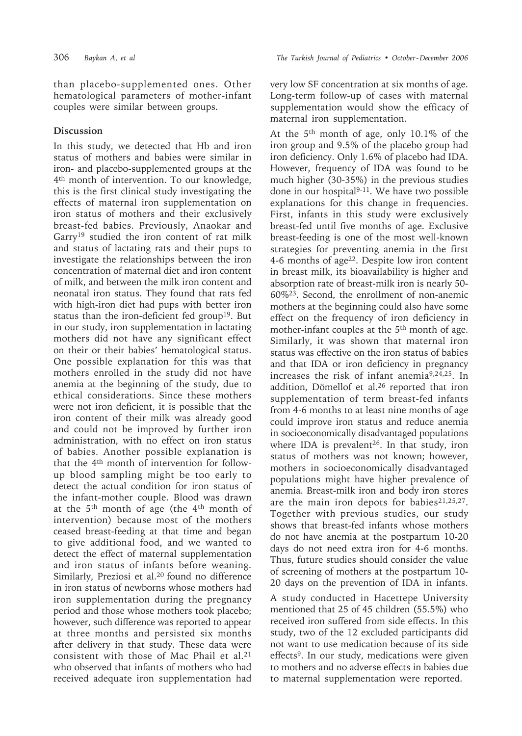than placebo-supplemented ones. Other hematological parameters of mother-infant couples were similar between groups.

### **Discussion**

In this study, we detected that Hb and iron status of mothers and babies were similar in iron- and placebo-supplemented groups at the 4th month of intervention. To our knowledge, this is the first clinical study investigating the effects of maternal iron supplementation on iron status of mothers and their exclusively breast-fed babies. Previously, Anaokar and Garry19 studied the iron content of rat milk and status of lactating rats and their pups to investigate the relationships between the iron concentration of maternal diet and iron content of milk, and between the milk iron content and neonatal iron status. They found that rats fed with high-iron diet had pups with better iron status than the iron-deficient fed group<sup>19</sup>. But in our study, iron supplementation in lactating mothers did not have any significant effect on their or their babies' hematological status. One possible explanation for this was that mothers enrolled in the study did not have anemia at the beginning of the study, due to ethical considerations. Since these mothers were not iron deficient, it is possible that the iron content of their milk was already good and could not be improved by further iron administration, with no effect on iron status of babies. Another possible explanation is that the 4th month of intervention for followup blood sampling might be too early to detect the actual condition for iron status of the infant-mother couple. Blood was drawn at the 5th month of age (the 4th month of intervention) because most of the mothers ceased breast-feeding at that time and began to give additional food, and we wanted to detect the effect of maternal supplementation and iron status of infants before weaning. Similarly, Preziosi et al.20 found no difference in iron status of newborns whose mothers had iron supplementation during the pregnancy period and those whose mothers took placebo; however, such difference was reported to appear at three months and persisted six months after delivery in that study. These data were consistent with those of Mac Phail et al.<sup>21</sup> who observed that infants of mothers who had received adequate iron supplementation had

very low SF concentration at six months of age. Long-term follow-up of cases with maternal supplementation would show the efficacy of maternal iron supplementation.

At the 5th month of age, only 10.1% of the iron group and 9.5% of the placebo group had iron deficiency. Only 1.6% of placebo had IDA. However, frequency of IDA was found to be much higher (30-35%) in the previous studies done in our hospital<sup>9-11</sup>. We have two possible explanations for this change in frequencies. First, infants in this study were exclusively breast-fed until five months of age. Exclusive breast-feeding is one of the most well-known strategies for preventing anemia in the first 4-6 months of age22. Despite low iron content in breast milk, its bioavailability is higher and absorption rate of breast-milk iron is nearly 50- 60%23. Second, the enrollment of non-anemic mothers at the beginning could also have some effect on the frequency of iron deficiency in mother-infant couples at the 5<sup>th</sup> month of age. Similarly, it was shown that maternal iron status was effective on the iron status of babies and that IDA or iron deficiency in pregnancy increases the risk of infant anemia9,24,25. In addition, Dömellof et al.26 reported that iron supplementation of term breast-fed infants from 4-6 months to at least nine months of age could improve iron status and reduce anemia in socioeconomically disadvantaged populations where IDA is prevalent<sup>26</sup>. In that study, iron status of mothers was not known; however, mothers in socioeconomically disadvantaged populations might have higher prevalence of anemia. Breast-milk iron and body iron stores are the main iron depots for babies<sup>21,25,27</sup>. Together with previous studies, our study shows that breast-fed infants whose mothers do not have anemia at the postpartum 10-20 days do not need extra iron for 4-6 months. Thus, future studies should consider the value of screening of mothers at the postpartum 10- 20 days on the prevention of IDA in infants.

A study conducted in Hacettepe University mentioned that 25 of 45 children (55.5%) who received iron suffered from side effects. In this study, two of the 12 excluded participants did not want to use medication because of its side effects9. In our study, medications were given to mothers and no adverse effects in babies due to maternal supplementation were reported.